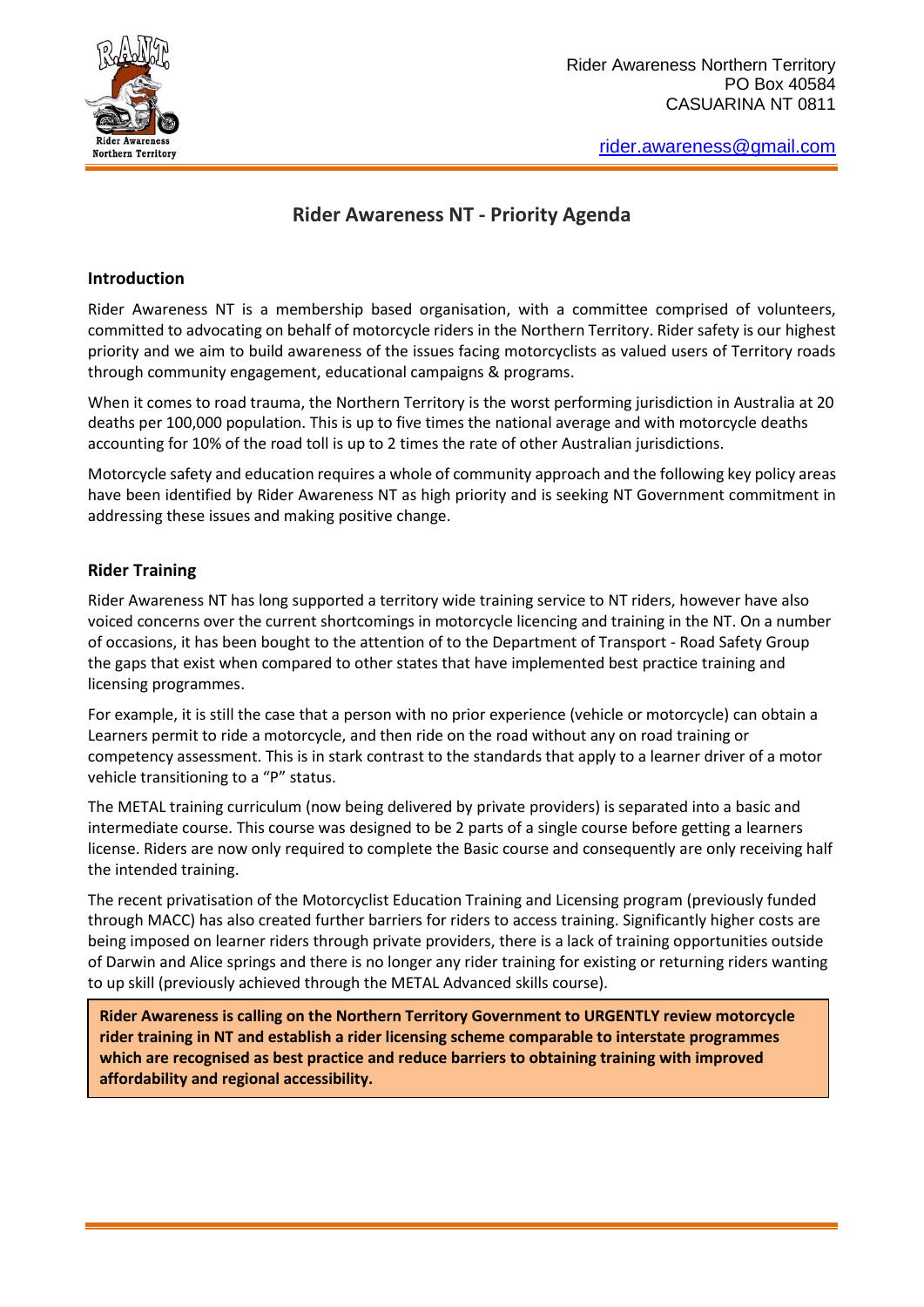

# **Rider Awareness NT - Priority Agenda**

# **Introduction**

Rider Awareness NT is a membership based organisation, with a committee comprised of volunteers, committed to advocating on behalf of motorcycle riders in the Northern Territory. Rider safety is our highest priority and we aim to build awareness of the issues facing motorcyclists as valued users of Territory roads through community engagement, educational campaigns & programs.

When it comes to road trauma, the Northern Territory is the [worst performing jurisdiction in Australia](http://www.bitre.gov.au/statistics/safety/) at 20 deaths per 100,000 population. This is up to five times the national average and with motorcycle deaths accounting for 10% of the road toll is up to 2 times the rate of other Australian jurisdictions.

Motorcycle safety and education requires a whole of community approach and the following key policy areas have been identified by Rider Awareness NT as high priority and is seeking NT Government commitment in addressing these issues and making positive change.

# **Rider Training**

Rider Awareness NT has long supported a territory wide training service to NT riders, however have also voiced concerns over the current shortcomings in motorcycle licencing and training in the NT. On a number of occasions, it has been bought to the attention of to the Department of Transport - Road Safety Group the gaps that exist when compared to other states that have implemented best practice training and licensing programmes.

For example, it is still the case that a person with no prior experience (vehicle or motorcycle) can obtain a Learners permit to ride a motorcycle, and then ride on the road without any on road training or competency assessment. This is in stark contrast to the standards that apply to a learner driver of a motor vehicle transitioning to a "P" status.

The METAL training curriculum (now being delivered by private providers) is separated into a basic and intermediate course. This course was designed to be 2 parts of a single course before getting a learners license. Riders are now only required to complete the Basic course and consequently are only receiving half the intended training.

The recent privatisation of the Motorcyclist Education Training and Licensing program (previously funded through MACC) has also created further barriers for riders to access training. Significantly higher costs are being imposed on learner riders through private providers, there is a lack of training opportunities outside of Darwin and Alice springs and there is no longer any rider training for existing or returning riders wanting to up skill (previously achieved through the METAL Advanced skills course).

**Rider Awareness is calling on the Northern Territory Government to URGENTLY review motorcycle rider training in NT and establish a rider licensing scheme comparable to interstate programmes which are recognised as best practice and reduce barriers to obtaining training with improved affordability and regional accessibility.**